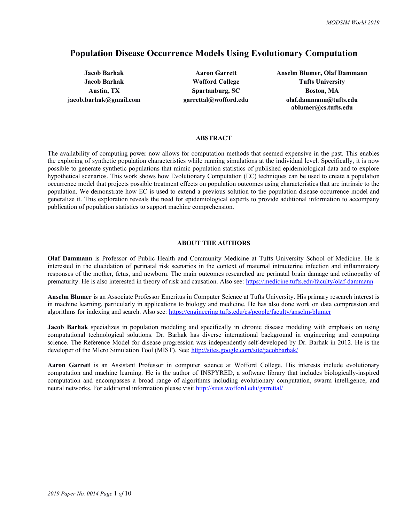# **Population Disease Occurrence Models Using Evolutionary Computation**

**Austin, TX Spartanburg, SC Boston, MA**

**Jacob Barhak Aaron Garrett Anselm Blumer, Olaf Dammann Jacob Barhak Wofford College Tufts University jacob.barhak@gmail.com garrettal@wofford.edu olaf.dammann@tufts.edu ablumer@cs.tufts.edu**

# **ABSTRACT**

The availability of computing power now allows for computation methods that seemed expensive in the past. This enables the exploring of synthetic population characteristics while running simulations at the individual level. Specifically, it is now possible to generate synthetic populations that mimic population statistics of published epidemiological data and to explore hypothetical scenarios. This work shows how Evolutionary Computation (EC) techniques can be used to create a population occurrence model that projects possible treatment effects on population outcomes using characteristics that are intrinsic to the population. We demonstrate how EC is used to extend a previous solution to the population disease occurrence model and generalize it. This exploration reveals the need for epidemiological experts to provide additional information to accompany publication of population statistics to support machine comprehension.

# **ABOUT THE AUTHORS**

**Olaf Dammann** is Professor of Public Health and Community Medicine at Tufts University School of Medicine. He is interested in the elucidation of perinatal risk scenarios in the context of maternal intrauterine infection and inflammatory responses of the mother, fetus, and newborn. The main outcomes researched are perinatal brain damage and retinopathy of prematurity. He is also interested in theory of risk and causation. Also see: <https://medicine.tufts.edu/faculty/olaf-dammann>

**Anselm Blumer** is an Associate Professor Emeritus in Computer Science at Tufts University. His primary research interest is in machine learning, particularly in applications to biology and medicine. He has also done work on data compression and algorithms for indexing and search. Also see: <https://engineering.tufts.edu/cs/people/faculty/anselm-blumer>

**Jacob Barhak** specializes in population modeling and specifically in chronic disease modeling with emphasis on using computational technological solutions. Dr. Barhak has diverse international background in engineering and computing science. The Reference Model for disease progression was independently self-developed by Dr. Barhak in 2012. He is the developer of the MIcro Simulation Tool (MIST). See: <http://sites.google.com/site/jacobbarhak/>

**Aaron Garrett** is an Assistant Professor in computer science at Wofford College. His interests include evolutionary computation and machine learning. He is the author of INSPYRED, a software library that includes biologically-inspired computation and encompasses a broad range of algorithms including evolutionary computation, swarm intelligence, and neural networks. For additional information please visit <http://sites.wofford.edu/garrettal/>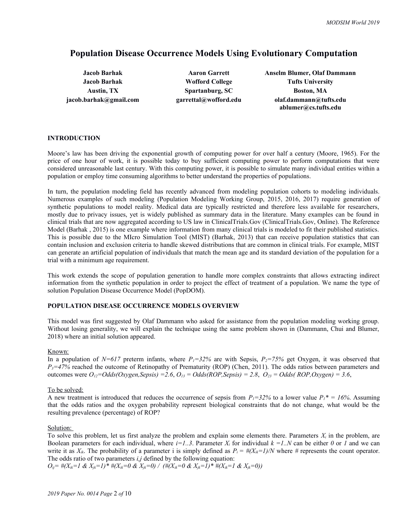# **Population Disease Occurrence Models Using Evolutionary Computation**

**Jacob Barhak Wofford College Tufts University** Austin, TX **Spartanburg, SC Boston, MA** 

**Jacob Barhak Aaron Garrett Anselm Blumer, Olaf Dammann jacob.barhak@gmail.com garrettal@wofford.edu olaf.dammann@tufts.edu ablumer@cs.tufts.edu**

# **INTRODUCTION**

Moore's law has been driving the exponential growth of computing power for over half a century (Moore, 1965). For the price of one hour of work, it is possible today to buy sufficient computing power to perform computations that were considered unreasonable last century. With this computing power, it is possible to simulate many individual entities within a population or employ time consuming algorithms to better understand the properties of populations.

In turn, the population modeling field has recently advanced from modeling population cohorts to modeling individuals. Numerous examples of such modeling (Population Modeling Working Group, 2015, 2016, 2017) require generation of synthetic populations to model reality. Medical data are typically restricted and therefore less available for researchers, mostly due to privacy issues, yet is widely published as summary data in the literature. Many examples can be found in clinical trials that are now aggregated according to US law in ClinicalTrials.Gov (ClinicalTrials.Gov, Online). The Reference Model (Barhak , 2015) is one example where information from many clinical trials is modeled to fit their published statistics. This is possible due to the MIcro Simulation Tool (MIST) (Barhak, 2013) that can receive population statistics that can contain inclusion and exclusion criteria to handle skewed distributions that are common in clinical trials. For example, MIST can generate an artificial population of individuals that match the mean age and its standard deviation of the population for a trial with a minimum age requirement.

This work extends the scope of population generation to handle more complex constraints that allows extracting indirect information from the synthetic population in order to project the effect of treatment of a population. We name the type of solution Population Disease Occurrence Model (PopDOM).

# **POPULATION DISEASE OCCURRENCE MODELS OVERVIEW**

This model was first suggested by Olaf Dammann who asked for assistance from the population modeling working group. Without losing generality, we will explain the technique using the same problem shown in (Dammann, Chui and Blumer, 2018) where an initial solution appeared.

## Known:

In a population of  $N=617$  preterm infants, where  $P_1=32\%$  are with Sepsis,  $P_2=75\%$  get Oxygen, it was observed that *P3=47%* reached the outcome of Retinopathy of Prematurity (ROP) (Chen, 2011). The odds ratios between parameters and outcomes were *O12=Odds(Oxygen,Sepsis) =2.6*, *O13 = Odds(ROP,Sepsis) = 2.8*, *O23 = Odds( ROP,Oxygen) = 3.6*,

## To be solved:

A new treatment is introduced that reduces the occurrence of sepsis from  $P_1 = 32\%$  to a lower value  $P_1^* = 16\%$ . Assuming that the odds ratios and the oxygen probability represent biological constraints that do not change, what would be the resulting prevalence (percentage) of ROP?

## Solution:

To solve this problem, let us first analyze the problem and explain some elements there. Parameters  $X_i$  in the problem, are Boolean parameters for each individual, where  $i=1...3$ . Parameter  $X_i$  for individual  $k=1...N$  can be either 0 or 1 and we can write it as  $X_{ik}$ . The probability of a parameter i is simply defined as  $P_i = \frac{\mu(X_{ik} - I)}{N}$  where  $\mu$  represents the count operator. The odds ratio of two parameters *i,j* defined by the following equation:

*Oij= #(Xik=1 & Xjk=1)\* #(Xik=0 & Xjk=0) / (#(Xik=0 & Xjk=1)\* #(Xik=1 & Xjk=0))*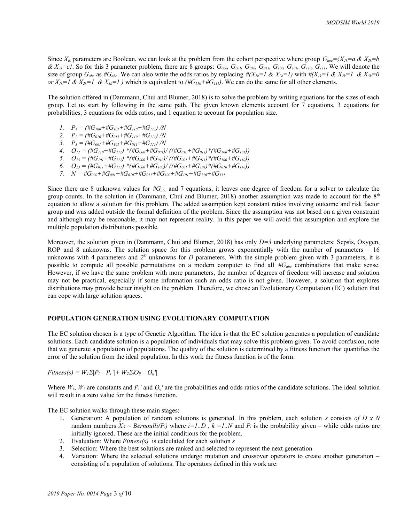Since  $X_{ik}$  parameters are Boolean, we can look at the problem from the cohort perspective where group  $G_{abc} = \{X_{ik} = a \& X_{2k} = b \}$  $\& X_{3k} = c$ . So for this 3 parameter problem, there are 8 groups:  $G_{000}$ ,  $G_{001}$ ,  $G_{010}$ ,  $G_{101}$ ,  $G_{100}$ ,  $G_{110}$ ,  $G_{111}$ . We will denote the size of group  $G_{abc}$  as # $G_{abc}$ . We can also write the odds ratios by replacing # $(X_{ik}=1 \& X_{2k}=1)$  with # $(X_{ik}=1 \& X_{2k}=1 \& X_{3k}=0)$ *or*  $X_{1k} = I \& X_{2k} = I \& X_{3k} = I$  ) which is equivalent to  $(HG_{110} + HG_{111})$ . We can do the same for all other elements.

The solution offered in (Dammann, Chui and Blumer, 2018) is to solve the problem by writing equations for the sizes of each group. Let us start by following in the same path. The given known elements account for 7 equations, 3 equations for probabilities, 3 equations for odds ratios, and 1 equation to account for population size.

- *1. P1 = (#G100+#G101+#G110+#G111) /N*
- *2. P2 = (#G010+#G011+#G110+#G111) /N*
- *3. P3 = (#G001+#G101+#G011+#G111) /N*
- *4.*  $O_{12} = (\#G_{110} + \#G_{111}) * (\#G_{000} + \#G_{001}) / ((\#G_{010} + \#G_{011}) * (\#G_{100} + \#G_{101}))$
- 5.  $O_{13} = (\#G_{101} + \#G_{111}) * (\#G_{000} + \#G_{010}) / ((\#G_{001} + \#G_{011}) * (\#G_{100} + \#G_{110}))$
- 6.  $O_{23} = (\#G_{011} + \#G_{111}) * (\#G_{000} + \#G_{100}) / ((\#G_{001} + \#G_{101}) * (\#G_{010} + \#G_{110}))$
- *7. N = #G000+#G001+#G010+#G011+#G100+#G101+#G110+#G<sup>111</sup>*

Since there are 8 unknown values for *#Gabc* and 7 equations, it leaves one degree of freedom for a solver to calculate the group counts. In the solution in (Dammann, Chui and Blumer, 2018) another assumption was made to account for the  $8<sup>th</sup>$ equation to allow a solution for this problem. The added assumption kept constant ratios involving outcome and risk factor group and was added outside the formal definition of the problem. Since the assumption was not based on a given constraint and although may be reasonable, it may not represent reality. In this paper we will avoid this assumption and explore the multiple population distributions possible.

Moreover, the solution given in (Dammann, Chui and Blumer, 2018) has only *D=3* underlying parameters: Sepsis, Oxygen, ROP and 8 unknowns. The solution space for this problem grows exponentially with the number of parameters – 16 unknowns with 4 parameters and  $2^D$  unknowns for *D* parameters. With the simple problem given with 3 parameters, it is possible to compute all possible permutations on a modern computer to find all *#Gabc* combinations that make sense. However, if we have the same problem with more parameters, the number of degrees of freedom will increase and solution may not be practical, especially if some information such an odds ratio is not given. However, a solution that explores distributions may provide better insight on the problem. Therefore, we chose an Evolutionary Computation (EC) solution that can cope with large solution spaces.

#### **POPULATION GENERATION USING EVOLUTIONARY COMPUTATION**

The EC solution chosen is a type of Genetic Algorithm. The idea is that the EC solution generates a population of candidate solutions. Each candidate solution is a population of individuals that may solve this problem given. To avoid confusion, note that we generate a population of populations. The quality of the solution is determined by a fitness function that quantifies the error of the solution from the ideal population. In this work the fitness function is of the form:

*Fitness(s)* =  $W_1 \Sigma [P_i - P_i'] + W_2 \Sigma [O_i - O_i']$ 

Where  $W_1$ ,  $W_2$  are constants and  $P_i'$  and  $O_{ij}'$  are the probabilities and odds ratios of the candidate solutions. The ideal solution will result in a zero value for the fitness function.

The EC solution walks through these main stages:

- 1. Generation: A population of random solutions is generated. In this problem, each solution *s* consists *of D x N* random numbers  $X_{ik} \sim Bernoulli(P_i)$  where  $i=1..D$ ,  $k=1..N$  and  $P_i$  is the probability given – while odds ratios are initially ignored. These are the initial conditions for the problem.
- 2. Evaluation: Where *Fitness(s)* is calculated for each solution *s*
- 3. Selection: Where the best solutions are ranked and selected to represent the next generation
- 4. Variation: Where the selected solutions undergo mutation and crossover operators to create another generation consisting of a population of solutions. The operators defined in this work are: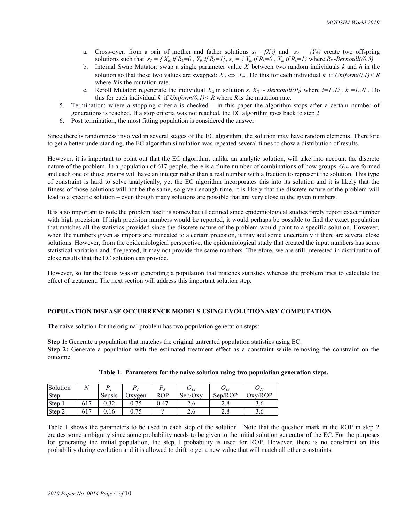- a. Cross-over: from a pair of mother and father solutions  $s_1 = \{X_{ik}\}\$ and  $s_2 = \{Y_{ik}\}\$ create two offspring solutions such that  $s_3 = \{X_{ik} \text{ if } R_k = 0, Y_{ik} \text{ if } R_k = 1\}$ ,  $s_4 = \{Y_{ik} \text{ if } R_k = 0, X_{ik} \text{ if } R_k = 1\}$  where  $R_k \sim \text{Bernoulli}(0.5)$
- b. Internal Swap Mutator: swap a single parameter value *Xi* between two random individuals *k* and *h* in the solution so that these two values are swapped:  $X_{ik} \Leftrightarrow X_{ih}$ . Do this for each individual *k* if *Uniform(0,1)* < R where *R* is the mutation rate.
- c. Reroll Mutator: regenerate the individual  $X_{ik}$  in solution *s,*  $X_{ik} \sim Bernoulli(P_i)$  where  $i=1..D$ ,  $k=1..N$ . Do this for each individual *k* if  $Uniform(0,1) < R$  where *R* is the mutation rate.
- 5. Termination: where a stopping criteria is checked in this paper the algorithm stops after a certain number of generations is reached. If a stop criteria was not reached, the EC algorithm goes back to step 2
- 6. Post termination, the most fitting population is considered the answer

Since there is randomness involved in several stages of the EC algorithm, the solution may have random elements. Therefore to get a better understanding, the EC algorithm simulation was repeated several times to show a distribution of results.

However, it is important to point out that the EC algorithm, unlike an analytic solution, will take into account the discrete nature of the problem. In a population of 617 people, there is a finite number of combinations of how groups  $G_{abc}$  are formed and each one of those groups will have an integer rather than a real number with a fraction to represent the solution. This type of constraint is hard to solve analytically, yet the EC algorithm incorporates this into its solution and it is likely that the fitness of those solutions will not be the same, so given enough time, it is likely that the discrete nature of the problem will lead to a specific solution – even though many solutions are possible that are very close to the given numbers.

It is also important to note the problem itself is somewhat ill defined since epidemiological studies rarely report exact number with high precision. If high precision numbers would be reported, it would perhaps be possible to find the exact population that matches all the statistics provided since the discrete nature of the problem would point to a specific solution. However, when the numbers given as imports are truncated to a certain precision, it may add some uncertainly if there are several close solutions. However, from the epidemiological perspective, the epidemiological study that created the input numbers has some statistical variation and if repeated, it may not provide the same numbers. Therefore, we are still interested in distribution of close results that the EC solution can provide.

However, so far the focus was on generating a population that matches statistics whereas the problem tries to calculate the effect of treatment. The next section will address this important solution step.

# **POPULATION DISEASE OCCURRENCE MODELS USING EVOLUTIONARY COMPUTATION**

The naive solution for the original problem has two population generation steps:

**Step 1:** Generate a population that matches the original untreated population statistics using EC. **Step 2:** Generate a population with the estimated treatment effect as a constraint while removing the constraint on the outcome.

| Solution       |     |        |        |            |         | $U_{13}$    | $U_{23}$ |
|----------------|-----|--------|--------|------------|---------|-------------|----------|
| Step           |     | Sepsis | Oxygen | <b>ROP</b> | Sep/Oxv | Sep/ROP     | Oxv/ROP  |
| Step           | OI. | 0.32   | U. / J | 0.47       | 2.6     | $\angle$ .0 | 3.0      |
| $\vert$ Step 2 | 617 | 0.16   | U. / J |            | 2.6     | $\angle$ .0 | 5.0      |

| Table 1. Parameters for the naive solution using two population generation steps. |  |  |  |  |
|-----------------------------------------------------------------------------------|--|--|--|--|
|                                                                                   |  |  |  |  |

Table 1 shows the parameters to be used in each step of the solution. Note that the question mark in the ROP in step 2 creates some ambiguity since some probability needs to be given to the initial solution generator of the EC. For the purposes for generating the initial population, the step 1 probability is used for ROP. However, there is no constraint on this probability during evolution and it is allowed to drift to get a new value that will match all other constraints.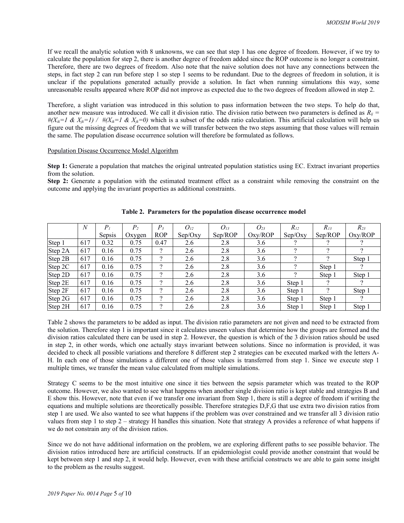If we recall the analytic solution with 8 unknowns, we can see that step 1 has one degree of freedom. However, if we try to calculate the population for step 2, there is another degree of freedom added since the ROP outcome is no longer a constraint. Therefore, there are two degrees of freedom. Also note that the naive solution does not have any connections between the steps, in fact step 2 can run before step 1 so step 1 seems to be redundant. Due to the degrees of freedom in solution, it is unclear if the populations generated actually provide a solution. In fact when running simulations this way, some unreasonable results appeared where ROP did not improve as expected due to the two degrees of freedom allowed in step 2.

Therefore, a slight variation was introduced in this solution to pass information between the two steps. To help do that, another new measure was introduced. We call it division ratio. The division ratio between two parameters is defined as  $R_{ij}$  =  $#(X_{ik} = 1 \& X_{ik} = 1) \quad / \quad #(X_{ik} = 1 \& X_{ik} = 0)$  which is a subset of the odds ratio calculation. This artificial calculation will help us figure out the missing degrees of freedom that we will transfer between the two steps assuming that those values will remain the same. The population disease occurrence solution will therefore be formulated as follows.

## Population Disease Occurrence Model Algorithm

**Step 1:** Generate a population that matches the original untreated population statistics using EC. Extract invariant properties from the solution.

**Step 2:** Generate a population with the estimated treatment effect as a constraint while removing the constraint on the outcome and applying the invariant properties as additional constraints.

|                   | $\boldsymbol{N}$ | P <sub>1</sub> | P <sub>2</sub> | P <sub>3</sub>           | $O_{12}$ | $O_{13}$ | $O_{23}$ | $R_{12}$ | $R_{13}$ | $R_{23}$ |
|-------------------|------------------|----------------|----------------|--------------------------|----------|----------|----------|----------|----------|----------|
|                   |                  | Sepsis         | Oxygen         | <b>ROP</b>               | Sep/Oxy  | Sep/ROP  | Oxy/ROP  | Sep/Oxy  | Sep/ROP  | Oxy/ROP  |
| Step 1            | 617              | 0.32           | 0.75           | 0.47                     | 2.6      | 2.8      | 3.6      |          |          |          |
| Step 2A           | 617              | 0.16           | 0.75           | $\overline{\mathcal{L}}$ | 2.6      | 2.8      | 3.6      | റ        |          |          |
| Step 2B           | 617              | 0.16           | 0.75           | $\Omega$                 | 2.6      | 2.8      | 3.6      | റ        |          | Step 1   |
| Step 2C           | 617              | 0.16           | 0.75           | $\mathcal{P}$            | 2.6      | 2.8      | 3.6      | റ        | Step 1   |          |
| $\text{Step } 2D$ | 617              | 0.16           | 0.75           | 2                        | 2.6      | 2.8      | 3.6      | റ        | Step 1   | Step 1   |
| Step 2E           | 617              | 0.16           | 0.75           | $\mathcal{P}$            | 2.6      | 2.8      | 3.6      | Step 1   |          |          |
| Step 2F           | 617              | 0.16           | 0.75           | 2                        | 2.6      | 2.8      | 3.6      | Step 1   |          | Step 1   |
| Step 2G           | 617              | 0.16           | 0.75           | 2                        | 2.6      | 2.8      | 3.6      | Step 1   | Step 1   |          |
| Step 2H           | 617              | 0.16           | 0.75           | 2                        | 2.6      | 2.8      | 3.6      | Step 1   | Step 1   | Step 1   |

**Table 2. Parameters for the population disease occurrence model** 

Table 2 shows the parameters to be added as input. The division ratio parameters are not given and need to be extracted from the solution. Therefore step 1 is important since it calculates unseen values that determine how the groups are formed and the division ratios calculated there can be used in step 2. However, the question is which of the 3 division ratios should be used in step 2, in other words, which one actually stays invariant between solutions. Since no information is provided, it was decided to check all possible variations and therefore 8 different step 2 strategies can be executed marked with the letters A-H. In each one of those simulations a different one of those values is transferred from step 1. Since we execute step 1 multiple times, we transfer the mean value calculated from multiple simulations.

Strategy C seems to be the most intuitive one since it ties between the sepsis parameter which was treated to the ROP outcome. However, we also wanted to see what happens when another single division ratio is kept stable and strategies B and E show this. However, note that even if we transfer one invariant from Step 1, there is still a degree of freedom if writing the equations and multiple solutions are theoretically possible. Therefore strategies D,F,G that use extra two division ratios from step 1 are used. We also wanted to see what happens if the problem was over constrained and we transfer all 3 division ratio values from step 1 to step 2 – strategy H handles this situation. Note that strategy A provides a reference of what happens if we do not constrain any of the division ratios.

Since we do not have additional information on the problem, we are exploring different paths to see possible behavior. The division ratios introduced here are artificial constructs. If an epidemiologist could provide another constraint that would be kept between step 1 and step 2, it would help. However, even with these artificial constructs we are able to gain some insight to the problem as the results suggest.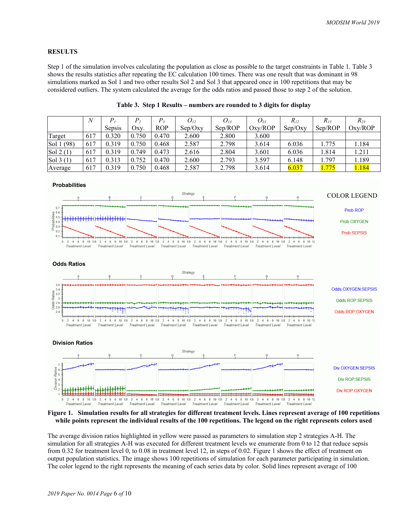### **RESULTS**

Step 1 of the simulation involves calculating the population as close as possible to the target constraints in Table 1. Table 3 shows the results statistics after repeating the EC calculation 100 times. There was one result that was dominant in 98 simulations marked as Sol 1 and two other results Sol 2 and Sol 3 that appeared once in 100 repetitions that may be considered outliers. The system calculated the average for the odds ratios and passed those to step 2 of the solution.

|                   | $\overline{N}$ |        | $P_{2}$ |            | $O_{I2}$ | $O_{13}$ | $O_{23}$ | $R_{12}$ | $R_{I3}$      | $R_{23}$ |
|-------------------|----------------|--------|---------|------------|----------|----------|----------|----------|---------------|----------|
|                   |                | Sepsis | Oxy.    | <b>ROP</b> | Sep/Oxy  | Sep/ROP  | Oxy/ROP  | Sep/Oxv  | Sep/ROP       | Oxy/ROP  |
| 'Target           | 617            | 0.320  | 0.750   | 0.470      | 2.600    | 2.800    | 3.600    |          |               |          |
| Sol 1 (98)        | 617            | 0.319  | 0.750   | 0.468      | 2.587    | 2.798    | 3.614    | 6.036    | 1.775         | 1.184    |
| $\vert$ Sol 2(1)  | 617            | 0.319  | 0.749   | 0.473      | 2.616    | 2.804    | 3.601    | 6.036    | 1.814         | 1.211    |
| $\vert$ Sol 3 (1) | 617            | 0.313  | 0.752   | 0.470      | 2.600    | 2.793    | 3.597    | 6.148    | 1.797         | 1.189    |
| Average           | 617            | 0.319  | 0.750   | 0.468      | 2.587    | 2.798    | 3.614    | 6.037    | <u> 1.775</u> | 1.184    |

**Table 3. Step 1 Results – numbers are rounded to 3 digits for display**



**Figure 1. Simulation results for all strategies for different treatment levels. Lines represent average of 100 repetitions while points represent the individual results of the 100 repetitions. The legend on the right represents colors used**

The average division ratios highlighted in yellow were passed as parameters to simulation step 2 strategies A-H. The simulation for all strategies A-H was executed for different treatment levels we enumerate from 0 to 12 that reduce sepsis from 0.32 for treatment level 0, to 0.08 in treatment level 12, in steps of 0.02. Figure 1 shows the effect of treatment on output population statistics. The image shows 100 repetitions of simulation for each parameter participating in simulation. The color legend to the right represents the meaning of each series data by color. Solid lines represent average of 100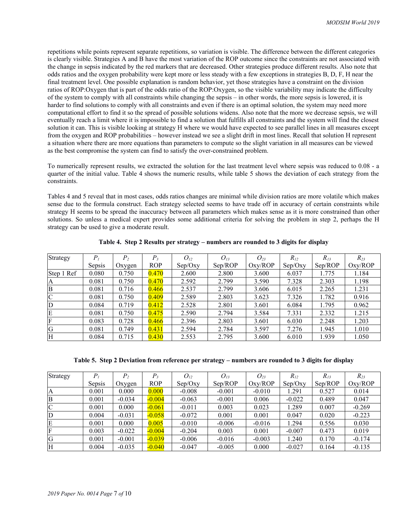repetitions while points represent separate repetitions, so variation is visible. The difference between the different categories is clearly visible. Strategies A and B have the most variation of the ROP outcome since the constraints are not associated with the change in sepsis indicated by the red markers that are decreased. Other strategies produce different results. Also note that odds ratios and the oxygen probability were kept more or less steady with a few exceptions in strategies B, D, F, H near the final treatment level. One possible explanation is random behavior, yet those strategies have a constraint on the division ratios of ROP:Oxygen that is part of the odds ratio of the ROP:Oxygen, so the visible variability may indicate the difficulty of the system to comply with all constraints while changing the sepsis – in other words, the more sepsis is lowered, it is harder to find solutions to comply with all constraints and even if there is an optimal solution, the system may need more computational effort to find it so the spread of possible solutions widens. Also note that the more we decrease sepsis, we will eventually reach a limit where it is impossible to find a solution that fulfills all constraints and the system will find the closest solution it can. This is visible looking at strategy H where we would have expected to see parallel lines in all measures except from the oxygen and ROP probabilities – however instead we see a slight drift in most lines. Recall that solution H represent a situation where there are more equations than parameters to compute so the slight variation in all measures can be viewed as the best compromise the system can find to satisfy the over-constrained problem.

To numerically represent results, we extracted the solution for the last treatment level where sepsis was reduced to 0.08 - a quarter of the initial value. Table 4 shows the numeric results, while table 5 shows the deviation of each strategy from the constraints.

Tables 4 and 5 reveal that in most cases, odds ratios changes are minimal while division ratios are more volatile which makes sense due to the formula construct. Each strategy selected seems to have trade off in accuracy of certain constraints while strategy H seems to be spread the inaccuracy between all parameters which makes sense as it is more constrained than other solutions. So unless a medical expert provides some additional criteria for solving the problem in step 2, perhaps the H strategy can be used to give a moderate result.

| Strategy       | $P_{i}$ | $P_{2}$ | $P_3$      | $O_{12}$ | $O_{13}$ | $O_{23}$ | $R_{I2}$ | $R_{13}$ | $R_{23}$ |
|----------------|---------|---------|------------|----------|----------|----------|----------|----------|----------|
|                | Sepsis  | Oxygen  | <b>ROP</b> | Sep/Oxy  | Sep/ROP  | Oxy/ROP  | Sep/Oxy  | Sep/ROP  | Oxy/ROP  |
| Step 1 Ref     | 0.080   | 0.750   | 0.470      | 2.600    | 2.800    | 3.600    | 6.037    | 1.775    | 1.184    |
| A              | 0.081   | 0.750   | 0.470      | 2.592    | 2.799    | 3.590    | 7.328    | 2.303    | 1.198    |
| ΙB             | 0.081   | 0.716   | 0.466      | 2.537    | 2.799    | 3.606    | 6.015    | 2.265    | 1.231    |
| C              | 0.081   | 0.750   | 0.409      | 2.589    | 2.803    | 3.623    | 7.326    | 1.782    | 0.916    |
| D              | 0.084   | 0.719   | 0.412      | 2.528    | 2.801    | 3.601    | 6.084    | 1.795    | 0.962    |
| E              | 0.081   | 0.750   | 0.475      | 2.590    | 2.794    | 3.584    | 7.331    | 2.332    | 1.215    |
| F              | 0.083   | 0.728   | 0.466      | 2.396    | 2.803    | 3.601    | 6.030    | 2.248    | 1.203    |
| <sub>I</sub> G | 0.081   | 0.749   | 0.431      | 2.594    | 2.784    | 3.597    | 7.276    | 1.945    | 1.010    |
| ΙH             | 0.084   | 0.715   | 0.430      | 2.553    | 2.795    | 3.600    | 6.010    | 1.939    | 1.050    |

**Table 4. Step 2 Results per strategy – numbers are rounded to 3 digits for display**

**Table 5. Step 2 Deviation from reference per strategy – numbers are rounded to 3 digits for display**

| Strategy | P      | P <sub>2</sub> | $P_{3}$    | $O_{12}$ | $O_{13}$ | $O_{23}$ | $R_{I2}$ | $R_{I3}$ | $R_{23}$ |
|----------|--------|----------------|------------|----------|----------|----------|----------|----------|----------|
|          | Sepsis | Oxygen         | <b>ROP</b> | Sep/Oxy  | Sep/ROP  | Oxy/ROP  | Sep/Oxy  | Sep/ROP  | Oxy/ROP  |
| ΙA       | 0.001  | 0.000          | 0.000      | $-0.008$ | $-0.001$ | $-0.010$ | 1.291    | 0.527    | 0.014    |
| ΙB       | 0.001  | $-0.034$       | $-0.004$   | $-0.063$ | $-0.001$ | 0.006    | $-0.022$ | 0.489    | 0.047    |
| C        | 0.001  | 0.000          | $-0.061$   | $-0.011$ | 0.003    | 0.023    | 1.289    | 0.007    | $-0.269$ |
| D        | 0.004  | $-0.031$       | $-0.058$   | $-0.072$ | 0.001    | 0.001    | 0.047    | 0.020    | $-0.223$ |
| ΙE       | 0.001  | 0.000          | 0.005      | $-0.010$ | $-0.006$ | $-0.016$ | 1.294    | 0.556    | 0.030    |
| ΙF       | 0.003  | $-0.022$       | $-0.004$   | $-0.204$ | 0.003    | 0.001    | $-0.007$ | 0.473    | 0.019    |
| G        | 0.001  | $-0.001$       | $-0.039$   | $-0.006$ | $-0.016$ | $-0.003$ | 1.240    | 0.170    | $-0.174$ |
| ΙH       | 0.004  | $-0.035$       | $-0.040$   | $-0.047$ | $-0.005$ | 0.000    | $-0.027$ | 0.164    | $-0.135$ |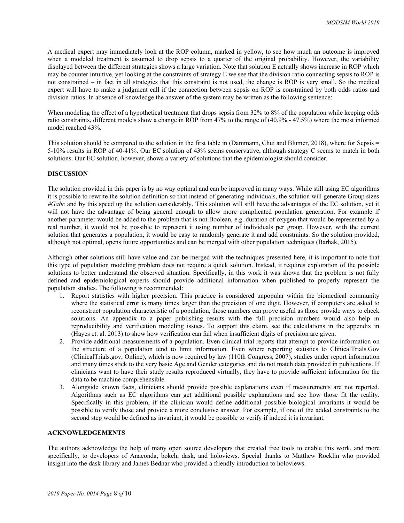A medical expert may immediately look at the ROP column, marked in yellow, to see how much an outcome is improved when a modeled treatment is assumed to drop sepsis to a quarter of the original probability. However, the variability displayed between the different strategies shows a large variation. Note that solution E actually shows increase in ROP which may be counter intuitive, yet looking at the constraints of strategy E we see that the division ratio connecting sepsis to ROP is not constrained – in fact in all strategies that this constraint is not used, the change is ROP is very small. So the medical expert will have to make a judgment call if the connection between sepsis on ROP is constrained by both odds ratios and division ratios. In absence of knowledge the answer of the system may be written as the following sentence:

When modeling the effect of a hypothetical treatment that drops sepsis from 32% to 8% of the population while keeping odds ratio constraints, different models show a change in ROP from 47% to the range of (40.9% - 47.5%) where the most informed model reached 43%.

This solution should be compared to the solution in the first table in (Dammann, Chui and Blumer, 2018), where for Sepsis = 5-10% results in ROP of 40-41%. Our EC solution of 43% seems conservative, although strategy C seems to match in both solutions. Our EC solution, however, shows a variety of solutions that the epidemiologist should consider.

# **DISCUSSION**

The solution provided in this paper is by no way optimal and can be improved in many ways. While still using EC algorithms it is possible to rewrite the solution definition so that instead of generating individuals, the solution will generate Group sizes *#Gabc* and by this speed up the solution considerably. This solution will still have the advantages of the EC solution, yet it will not have the advantage of being general enough to allow more complicated population generation. For example if another parameter would be added to the problem that is not Boolean, e.g. duration of oxygen that would be represented by a real number, it would not be possible to represent it using number of individuals per group. However, with the current solution that generates a population, it would be easy to randomly generate it and add constraints. So the solution provided, although not optimal, opens future opportunities and can be merged with other population techniques (Barhak, 2015).

Although other solutions still have value and can be merged with the techniques presented here, it is important to note that this type of population modeling problem does not require a quick solution. Instead, it requires exploration of the possible solutions to better understand the observed situation. Specifically, in this work it was shown that the problem is not fully defined and epidemiological experts should provide additional information when published to properly represent the population studies. The following is recommended:

- 1. Report statistics with higher precision. This practice is considered unpopular within the biomedical community where the statistical error is many times larger than the precision of one digit. However, if computers are asked to reconstruct population characteristic of a population, those numbers can prove useful as those provide ways to check solutions. An appendix to a paper publishing results with the full precision numbers would also help in reproducibility and verification modeling issues. To support this claim, see the calculations in the appendix in (Hayes et. al. 2013) to show how verification can fail when insufficient digits of precision are given.
- 2. Provide additional measurements of a population. Even clinical trial reports that attempt to provide information on the structure of a population tend to limit information. Even where reporting statistics to ClinicalTrials.Gov (ClinicalTrials.gov, Online), which is now required by law (110th Congress, 2007), studies under report information and many times stick to the very basic Age and Gender categories and do not match data provided in publications. If clinicians want to have their study results reproduced virtually, they have to provide sufficient information for the data to be machine comprehensible.
- 3. Alongside known facts, clinicians should provide possible explanations even if measurements are not reported. Algorithms such as EC algorithms can get additional possible explanations and see how those fit the reality. Specifically in this problem, if the clinician would define additional possible biological invariants it would be possible to verify those and provide a more conclusive answer. For example, if one of the added constraints to the second step would be defined as invariant, it would be possible to verify if indeed it is invariant.

# **ACKNOWLEDGEMENTS**

The authors acknowledge the help of many open source developers that created free tools to enable this work, and more specifically, to developers of Anaconda, bokeh, dask, and holoviews. Special thanks to Matthew Rocklin who provided insight into the dask library and James Bednar who provided a friendly introduction to holoviews.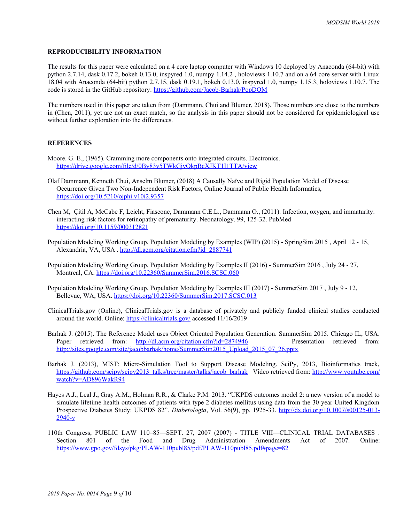## **REPRODUCIBILITY INFORMATION**

The results for this paper were calculated on a 4 core laptop computer with Windows 10 deployed by Anaconda (64-bit) with python 2.7.14, dask 0.17.2, bokeh 0.13.0, inspyred 1.0, numpy 1.14.2 , holoviews 1.10.7 and on a 64 core server with Linux 18.04 with Anaconda (64-bit) python 2.7.15, dask 0.19.1, bokeh 0.13.0, inspyred 1.0, numpy 1.15.3, holoviews 1.10.7. The code is stored in the GitHub repository: <https://github.com/Jacob-Barhak/PopDOM>

The numbers used in this paper are taken from (Dammann, Chui and Blumer, 2018). Those numbers are close to the numbers in (Chen, 2011), yet are not an exact match, so the analysis in this paper should not be considered for epidemiological use without further exploration into the differences.

# **REFERENCES**

- Moore. G. E., (1965). Cramming more components onto integrated circuits. Electronics. <https://drive.google.com/file/d/0By83v5TWkGjvQkpBcXJKT1I1TTA/view>
- Olaf Dammann, Kenneth Chui, Anselm Blumer, (2018) A Causally Naïve and Rigid Population Model of Disease Occurrence Given Two Non-Independent Risk Factors, Online Journal of Public Health Informatics, <https://doi.org/10.5210/ojphi.v10i2.9357>
- Chen M, Çitil A, McCabe F, Leicht, Fiascone, Dammann C.E.L., Dammann O., (2011). Infection, oxygen, and immaturity: interacting risk factors for retinopathy of prematurity. Neonatology. 99, 125-32. PubMed <https://doi.org/10.1159/000312821>
- Population Modeling Working Group, Population Modeling by Examples (WIP) (2015) SpringSim 2015 , April 12 15, Alexandria, VA, USA . <http://dl.acm.org/citation.cfm?id=2887741>
- Population Modeling Working Group, Population Modeling by Examples II (2016) SummerSim 2016 , July 24 27, Montreal, CA.<https://doi.org/10.22360/SummerSim.2016.SCSC.060>
- Population Modeling Working Group, Population Modeling by Examples III (2017) SummerSim 2017 , July 9 12, Bellevue, WA, USA. <https://doi.org/10.22360/SummerSim.2017.SCSC.013>
- ClinicalTrials.gov (Online), ClinicalTrials.gov is a database of privately and publicly funded clinical studies conducted around the world. Online:<https://clinicaltrials.gov/>accessed 11/16/2019
- Barhak J. (2015). The Reference Model uses Object Oriented Population Generation. SummerSim 2015. Chicago IL, USA. Paper retrieved from:<http://dl.acm.org/citation.cfm?id=2874946> Presentation retrieved from: [http://sites.google.com/site/jacobbarhak/home/SummerSim2015\\_Upload\\_2015\\_07\\_26.pptx](http://sites.google.com/site/jacobbarhak/home/SummerSim2015_Upload_2015_07_26.pptx)
- Barhak J. (2013), MIST: Micro-Simulation Tool to Support Disease Modeling. SciPy, 2013, Bioinformatics track, [https://github.com/scipy/scipy2013\\_talks/tree/master/talks/jacob\\_barhak](https://github.com/scipy/scipy2013_talks/tree/master/talks/jacob_barhak) Video retrieved from: [http://www.youtube.com/](http://www.youtube.com/watch?v=AD896WakR94) [watch?v=AD896WakR94](http://www.youtube.com/watch?v=AD896WakR94)
- Hayes A.J., Leal J., Gray A.M., Holman R.R., & Clarke P.M. 2013. "UKPDS outcomes model 2: a new version of a model to simulate lifetime health outcomes of patients with type 2 diabetes mellitus using data from the 30 year United Kingdom Prospective Diabetes Study: UKPDS 82". *Diabetologia*, Vol. 56(9), pp. 1925-33. [http://dx.doi.org/10.1007/s00125-013-](http://dx.doi.org/10.1007/s00125-013-2940-y) [2940-y](http://dx.doi.org/10.1007/s00125-013-2940-y)
- 110th Congress, PUBLIC LAW 110–85—SEPT. 27, 2007 (2007) TITLE VIII—CLINICAL TRIAL DATABASES . Section 801 of the Food and Drug Administration Amendments Act of 2007. Online: <https://www.gpo.gov/fdsys/pkg/PLAW-110publ85/pdf/PLAW-110publ85.pdf#page=82>